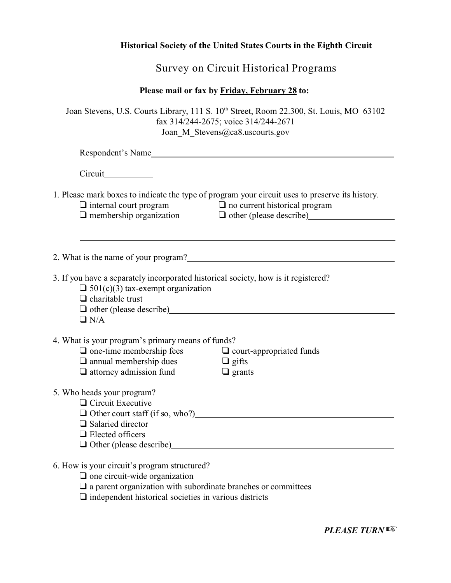## **Historical Society of the United States Courts in the Eighth Circuit**

Survey on Circuit Historical Programs

## **Please mail or fax by Friday, February 28 to:**

| Joan Stevens, U.S. Courts Library, 111 S. 10 <sup>th</sup> Street, Room 22.300, St. Louis, MO 63102 |  |
|-----------------------------------------------------------------------------------------------------|--|
| fax $314/244-2675$ ; voice $314/244-2671$                                                           |  |
| Joan M Stevens@ca8.uscourts.gov                                                                     |  |
| Respondent's Name                                                                                   |  |

**Circuit** 

1. Please mark boxes to indicate the type of program your circuit uses to preserve its history.

 $\Box$  internal court program

 $\Box$  membership organization

 $\Box$  no current historical program

O other (please describe)

2. What is the name of your program?

3. If you have a separately incorporated historical society, how is it registered?

 $\Box$  501(c)(3) tax-exempt organization

 $\Box$  charitable trust

 $\Box$  other (please describe)

 $\Box$  N/A

 $\overline{a}$ 

4. What is your program's primary means of funds?

- $\Box$  one-time membership fees
- $\Box$  annual membership dues
- $\Box$  attorney admission fund
- $\Box$  court-appropriated funds
- $\Box$  gifts
- 
- $\Box$  grants

- 5. Who heads your program?
	- □ Circuit Executive
	- $\Box$  Other court staff (if so, who?)
	- $\Box$  Salaried director
	- □ Elected officers
	- Other (please describe)
- 6. How is your circuit's program structured?
	- $\Box$  one circuit-wide organization
	- $\Box$  a parent organization with subordinate branches or committees
	- $\Box$  independent historical societies in various districts